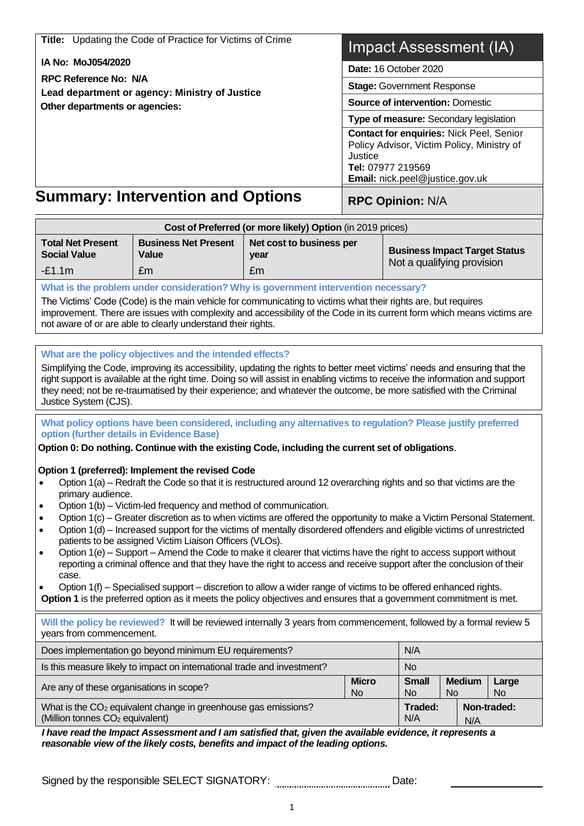|                                             | Title: Updating the Code of Practice for Victims of Crime                                                                                                                                                                                            |                                                            |                                         | Impact Assessment (IA)                     |                            |  |                    |
|---------------------------------------------|------------------------------------------------------------------------------------------------------------------------------------------------------------------------------------------------------------------------------------------------------|------------------------------------------------------------|-----------------------------------------|--------------------------------------------|----------------------------|--|--------------------|
| IA No: MoJ054/2020                          |                                                                                                                                                                                                                                                      | Date: 16 October 2020                                      |                                         |                                            |                            |  |                    |
| <b>RPC Reference No: N/A</b>                |                                                                                                                                                                                                                                                      |                                                            | <b>Stage: Government Response</b>       |                                            |                            |  |                    |
|                                             | Lead department or agency: Ministry of Justice                                                                                                                                                                                                       |                                                            | <b>Source of intervention: Domestic</b> |                                            |                            |  |                    |
| Other departments or agencies:              |                                                                                                                                                                                                                                                      |                                                            | Type of measure: Secondary legislation  |                                            |                            |  |                    |
|                                             |                                                                                                                                                                                                                                                      |                                                            |                                         | Contact for enquiries: Nick Peel, Senior   |                            |  |                    |
|                                             |                                                                                                                                                                                                                                                      |                                                            |                                         | Policy Advisor, Victim Policy, Ministry of |                            |  |                    |
|                                             |                                                                                                                                                                                                                                                      |                                                            | Justice                                 | Tel: 07977 219569                          |                            |  |                    |
|                                             |                                                                                                                                                                                                                                                      |                                                            |                                         | Email: nick.peel@justice.gov.uk            |                            |  |                    |
|                                             | <b>Summary: Intervention and Options</b>                                                                                                                                                                                                             |                                                            |                                         | <b>RPC Opinion: N/A</b>                    |                            |  |                    |
|                                             |                                                                                                                                                                                                                                                      | Cost of Preferred (or more likely) Option (in 2019 prices) |                                         |                                            |                            |  |                    |
| <b>Total Net Present</b>                    | <b>Business Net Present</b>                                                                                                                                                                                                                          | Net cost to business per                                   |                                         | <b>Business Impact Target Status</b>       |                            |  |                    |
| <b>Social Value</b>                         | Value                                                                                                                                                                                                                                                | year                                                       |                                         | Not a qualifying provision                 |                            |  |                    |
| $-E1.1m$                                    | £m                                                                                                                                                                                                                                                   | £m                                                         |                                         |                                            |                            |  |                    |
|                                             | What is the problem under consideration? Why is government intervention necessary?                                                                                                                                                                   |                                                            |                                         |                                            |                            |  |                    |
|                                             | The Victims' Code (Code) is the main vehicle for communicating to victims what their rights are, but requires<br>improvement. There are issues with complexity and accessibility of the Code in its current form which means victims are             |                                                            |                                         |                                            |                            |  |                    |
|                                             | not aware of or are able to clearly understand their rights.                                                                                                                                                                                         |                                                            |                                         |                                            |                            |  |                    |
|                                             |                                                                                                                                                                                                                                                      |                                                            |                                         |                                            |                            |  |                    |
|                                             | What are the policy objectives and the intended effects?                                                                                                                                                                                             |                                                            |                                         |                                            |                            |  |                    |
|                                             | Simplifying the Code, improving its accessibility, updating the rights to better meet victims' needs and ensuring that the                                                                                                                           |                                                            |                                         |                                            |                            |  |                    |
|                                             | right support is available at the right time. Doing so will assist in enabling victims to receive the information and support<br>they need; not be re-traumatised by their experience; and whatever the outcome, be more satisfied with the Criminal |                                                            |                                         |                                            |                            |  |                    |
| Justice System (CJS).                       |                                                                                                                                                                                                                                                      |                                                            |                                         |                                            |                            |  |                    |
|                                             | What policy options have been considered, including any alternatives to regulation? Please justify preferred                                                                                                                                         |                                                            |                                         |                                            |                            |  |                    |
| option (further details in Evidence Base)   |                                                                                                                                                                                                                                                      |                                                            |                                         |                                            |                            |  |                    |
|                                             | Option 0: Do nothing. Continue with the existing Code, including the current set of obligations.                                                                                                                                                     |                                                            |                                         |                                            |                            |  |                    |
|                                             | Option 1 (preferred): Implement the revised Code                                                                                                                                                                                                     |                                                            |                                         |                                            |                            |  |                    |
|                                             | Option 1(a) – Redraft the Code so that it is restructured around 12 overarching rights and so that victims are the                                                                                                                                   |                                                            |                                         |                                            |                            |  |                    |
| primary audience.                           |                                                                                                                                                                                                                                                      |                                                            |                                         |                                            |                            |  |                    |
|                                             | Option 1(b) – Victim-led frequency and method of communication.                                                                                                                                                                                      |                                                            |                                         |                                            |                            |  |                    |
| ٠                                           | Option 1(c) - Greater discretion as to when victims are offered the opportunity to make a Victim Personal Statement.<br>Option 1(d) – Increased support for the victims of mentally disordered offenders and eligible victims of unrestricted        |                                                            |                                         |                                            |                            |  |                    |
|                                             | patients to be assigned Victim Liaison Officers (VLOs).                                                                                                                                                                                              |                                                            |                                         |                                            |                            |  |                    |
| $\bullet$                                   | Option 1(e) – Support – Amend the Code to make it clearer that victims have the right to access support without                                                                                                                                      |                                                            |                                         |                                            |                            |  |                    |
| case.                                       | reporting a criminal offence and that they have the right to access and receive support after the conclusion of their                                                                                                                                |                                                            |                                         |                                            |                            |  |                    |
|                                             | Option 1(f) – Specialised support – discretion to allow a wider range of victims to be offered enhanced rights.                                                                                                                                      |                                                            |                                         |                                            |                            |  |                    |
|                                             | Option 1 is the preferred option as it meets the policy objectives and ensures that a government commitment is met.                                                                                                                                  |                                                            |                                         |                                            |                            |  |                    |
|                                             | Will the policy be reviewed? It will be reviewed internally 3 years from commencement, followed by a formal review 5                                                                                                                                 |                                                            |                                         |                                            |                            |  |                    |
| years from commencement.                    |                                                                                                                                                                                                                                                      |                                                            |                                         |                                            |                            |  |                    |
|                                             | Does implementation go beyond minimum EU requirements?                                                                                                                                                                                               |                                                            |                                         | N/A                                        |                            |  |                    |
|                                             | Is this measure likely to impact on international trade and investment?                                                                                                                                                                              |                                                            |                                         | <b>No</b>                                  |                            |  |                    |
| Are any of these organisations in scope?    |                                                                                                                                                                                                                                                      |                                                            | <b>Micro</b><br><b>No</b>               | <b>Small</b><br><b>No</b>                  | <b>Medium</b><br><b>No</b> |  | Large<br><b>No</b> |
| (Million tonnes CO <sub>2</sub> equivalent) | What is the CO <sub>2</sub> equivalent change in greenhouse gas emissions?                                                                                                                                                                           |                                                            |                                         | Traded:<br>N/A                             | N/A                        |  | Non-traded:        |
|                                             | I have read the Impact Assessment and I am satisfied that, given the available evidence, it represents a                                                                                                                                             |                                                            |                                         |                                            |                            |  |                    |
|                                             | reasonable view of the likely costs, benefits and impact of the leading options.                                                                                                                                                                     |                                                            |                                         |                                            |                            |  |                    |

Signed by the responsible SELECT SIGNATORY: **Manual Accelect Catalogy** Date: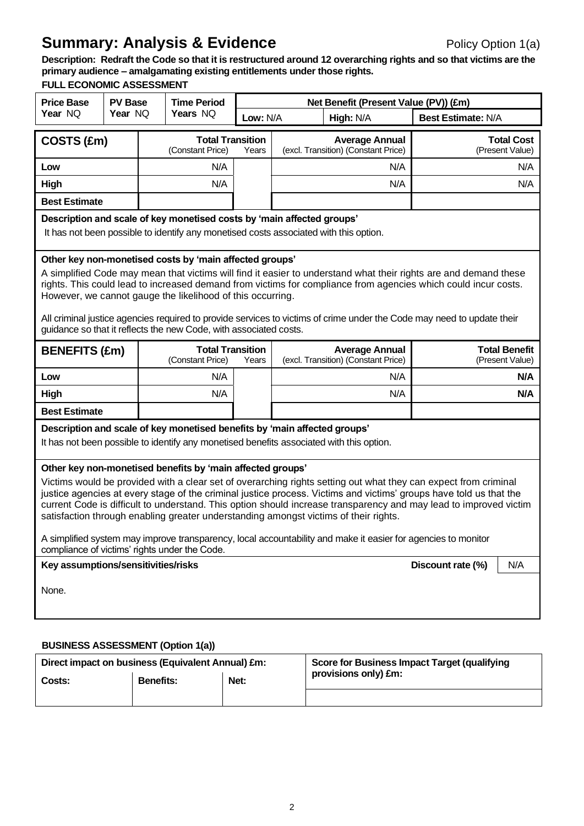# **Summary: Analysis & Evidence** Policy Option 1(a)

**Description: Redraft the Code so that it is restructured around 12 overarching rights and so that victims are the primary audience – amalgamating existing entitlements under those rights.**

## **FULL ECONOMIC ASSESSMENT**

| <b>Price Base</b>                                                                                                                                                                                                                                                                                                                                                                                                                                                                                                                                                                                                                                                                                                                | <b>PV Base</b>                                                                                                                                                                                                                                                                                                                                                                                                                                                                                                                                             |     | <b>Time Period</b>                          |          | Net Benefit (Present Value (PV)) (£m)                                                                                                                                 |                                         |                                      |  |  |  |
|----------------------------------------------------------------------------------------------------------------------------------------------------------------------------------------------------------------------------------------------------------------------------------------------------------------------------------------------------------------------------------------------------------------------------------------------------------------------------------------------------------------------------------------------------------------------------------------------------------------------------------------------------------------------------------------------------------------------------------|------------------------------------------------------------------------------------------------------------------------------------------------------------------------------------------------------------------------------------------------------------------------------------------------------------------------------------------------------------------------------------------------------------------------------------------------------------------------------------------------------------------------------------------------------------|-----|---------------------------------------------|----------|-----------------------------------------------------------------------------------------------------------------------------------------------------------------------|-----------------------------------------|--------------------------------------|--|--|--|
| Year NQ                                                                                                                                                                                                                                                                                                                                                                                                                                                                                                                                                                                                                                                                                                                          | Year NO                                                                                                                                                                                                                                                                                                                                                                                                                                                                                                                                                    |     | Years NQ                                    | Low: N/A | High: N/A                                                                                                                                                             | <b>Best Estimate: N/A</b>               |                                      |  |  |  |
| COSTS (£m)                                                                                                                                                                                                                                                                                                                                                                                                                                                                                                                                                                                                                                                                                                                       |                                                                                                                                                                                                                                                                                                                                                                                                                                                                                                                                                            |     | <b>Total Transition</b><br>(Constant Price) | Years    | <b>Average Annual</b><br>(excl. Transition) (Constant Price)                                                                                                          |                                         | <b>Total Cost</b><br>(Present Value) |  |  |  |
| Low                                                                                                                                                                                                                                                                                                                                                                                                                                                                                                                                                                                                                                                                                                                              |                                                                                                                                                                                                                                                                                                                                                                                                                                                                                                                                                            | N/A |                                             |          | N/A                                                                                                                                                                   |                                         | N/A                                  |  |  |  |
| High                                                                                                                                                                                                                                                                                                                                                                                                                                                                                                                                                                                                                                                                                                                             |                                                                                                                                                                                                                                                                                                                                                                                                                                                                                                                                                            | N/A |                                             |          | N/A                                                                                                                                                                   |                                         | N/A                                  |  |  |  |
| <b>Best Estimate</b>                                                                                                                                                                                                                                                                                                                                                                                                                                                                                                                                                                                                                                                                                                             |                                                                                                                                                                                                                                                                                                                                                                                                                                                                                                                                                            |     |                                             |          |                                                                                                                                                                       |                                         |                                      |  |  |  |
|                                                                                                                                                                                                                                                                                                                                                                                                                                                                                                                                                                                                                                                                                                                                  | Description and scale of key monetised costs by 'main affected groups'<br>It has not been possible to identify any monetised costs associated with this option.                                                                                                                                                                                                                                                                                                                                                                                            |     |                                             |          |                                                                                                                                                                       |                                         |                                      |  |  |  |
|                                                                                                                                                                                                                                                                                                                                                                                                                                                                                                                                                                                                                                                                                                                                  | Other key non-monetised costs by 'main affected groups'<br>A simplified Code may mean that victims will find it easier to understand what their rights are and demand these<br>rights. This could lead to increased demand from victims for compliance from agencies which could incur costs.<br>However, we cannot gauge the likelihood of this occurring.<br>All criminal justice agencies required to provide services to victims of crime under the Code may need to update their<br>guidance so that it reflects the new Code, with associated costs. |     |                                             |          |                                                                                                                                                                       |                                         |                                      |  |  |  |
| <b>BENEFITS (£m)</b>                                                                                                                                                                                                                                                                                                                                                                                                                                                                                                                                                                                                                                                                                                             |                                                                                                                                                                                                                                                                                                                                                                                                                                                                                                                                                            |     | <b>Total Transition</b><br>(Constant Price) | Years    | <b>Average Annual</b><br>(excl. Transition) (Constant Price)                                                                                                          | <b>Total Benefit</b><br>(Present Value) |                                      |  |  |  |
| Low                                                                                                                                                                                                                                                                                                                                                                                                                                                                                                                                                                                                                                                                                                                              |                                                                                                                                                                                                                                                                                                                                                                                                                                                                                                                                                            |     | N/A                                         |          | N/A                                                                                                                                                                   | N/A                                     |                                      |  |  |  |
| High                                                                                                                                                                                                                                                                                                                                                                                                                                                                                                                                                                                                                                                                                                                             |                                                                                                                                                                                                                                                                                                                                                                                                                                                                                                                                                            |     | N/A                                         |          | N/A                                                                                                                                                                   | N/A                                     |                                      |  |  |  |
| <b>Best Estimate</b>                                                                                                                                                                                                                                                                                                                                                                                                                                                                                                                                                                                                                                                                                                             |                                                                                                                                                                                                                                                                                                                                                                                                                                                                                                                                                            |     |                                             |          |                                                                                                                                                                       |                                         |                                      |  |  |  |
|                                                                                                                                                                                                                                                                                                                                                                                                                                                                                                                                                                                                                                                                                                                                  |                                                                                                                                                                                                                                                                                                                                                                                                                                                                                                                                                            |     |                                             |          | Description and scale of key monetised benefits by 'main affected groups'<br>It has not been possible to identify any monetised benefits associated with this option. |                                         |                                      |  |  |  |
| Other key non-monetised benefits by 'main affected groups'<br>Victims would be provided with a clear set of overarching rights setting out what they can expect from criminal<br>justice agencies at every stage of the criminal justice process. Victims and victims' groups have told us that the<br>current Code is difficult to understand. This option should increase transparency and may lead to improved victim<br>satisfaction through enabling greater understanding amongst victims of their rights.<br>A simplified system may improve transparency, local accountability and make it easier for agencies to monitor<br>compliance of victims' rights under the Code.<br>Key assumptions/sensitivities/risks<br>N/A |                                                                                                                                                                                                                                                                                                                                                                                                                                                                                                                                                            |     |                                             |          |                                                                                                                                                                       |                                         |                                      |  |  |  |
| None.                                                                                                                                                                                                                                                                                                                                                                                                                                                                                                                                                                                                                                                                                                                            | Discount rate (%)                                                                                                                                                                                                                                                                                                                                                                                                                                                                                                                                          |     |                                             |          |                                                                                                                                                                       |                                         |                                      |  |  |  |
|                                                                                                                                                                                                                                                                                                                                                                                                                                                                                                                                                                                                                                                                                                                                  | <b>BUSINESS ASSESSMENT (Option 1(a))</b>                                                                                                                                                                                                                                                                                                                                                                                                                                                                                                                   |     |                                             |          |                                                                                                                                                                       |                                         |                                      |  |  |  |

| Direct impact on business (Equivalent Annual) £m: |                  |      | <b>Score for Business Impact Target (qualifying</b> |
|---------------------------------------------------|------------------|------|-----------------------------------------------------|
| Costs:                                            | <b>Benefits:</b> | Net: | provisions only) £m:                                |
|                                                   |                  |      |                                                     |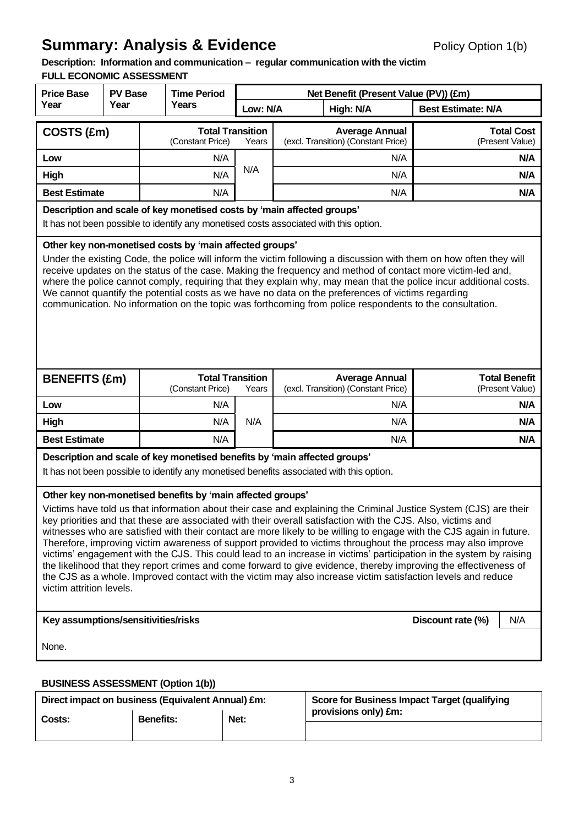# **Summary: Analysis & Evidence** Policy Option 1(b)

# **Description: Information and communication – regular communication with the victim**

# **FULL ECONOMIC ASSESSMENT**

| <b>Price Base</b>                                       | <b>PV Base</b>                                                                                                                                                                                                                                                                                                                                                                                                                                                                                                                                                                                                                                                                                                                                                                                                                                                                                                                 |  | <b>Time Period</b>                                                        |          |  | Net Benefit (Present Value (PV)) (£m)                                                    |                           |                                         |  |
|---------------------------------------------------------|--------------------------------------------------------------------------------------------------------------------------------------------------------------------------------------------------------------------------------------------------------------------------------------------------------------------------------------------------------------------------------------------------------------------------------------------------------------------------------------------------------------------------------------------------------------------------------------------------------------------------------------------------------------------------------------------------------------------------------------------------------------------------------------------------------------------------------------------------------------------------------------------------------------------------------|--|---------------------------------------------------------------------------|----------|--|------------------------------------------------------------------------------------------|---------------------------|-----------------------------------------|--|
| Year                                                    | Year                                                                                                                                                                                                                                                                                                                                                                                                                                                                                                                                                                                                                                                                                                                                                                                                                                                                                                                           |  | Years                                                                     | Low: N/A |  | High: N/A                                                                                | <b>Best Estimate: N/A</b> |                                         |  |
| COSTS (£m)                                              |                                                                                                                                                                                                                                                                                                                                                                                                                                                                                                                                                                                                                                                                                                                                                                                                                                                                                                                                |  | <b>Total Transition</b><br>(Constant Price)                               | Years    |  | <b>Average Annual</b><br>(excl. Transition) (Constant Price)                             |                           | <b>Total Cost</b><br>(Present Value)    |  |
| Low                                                     |                                                                                                                                                                                                                                                                                                                                                                                                                                                                                                                                                                                                                                                                                                                                                                                                                                                                                                                                |  | N/A                                                                       |          |  | N/A                                                                                      |                           | N/A                                     |  |
| High                                                    |                                                                                                                                                                                                                                                                                                                                                                                                                                                                                                                                                                                                                                                                                                                                                                                                                                                                                                                                |  | N/A                                                                       | N/A      |  | N/A                                                                                      |                           | N/A                                     |  |
| <b>Best Estimate</b>                                    |                                                                                                                                                                                                                                                                                                                                                                                                                                                                                                                                                                                                                                                                                                                                                                                                                                                                                                                                |  | N/A                                                                       |          |  | N/A                                                                                      |                           | N/A                                     |  |
|                                                         | Description and scale of key monetised costs by 'main affected groups'<br>It has not been possible to identify any monetised costs associated with this option.                                                                                                                                                                                                                                                                                                                                                                                                                                                                                                                                                                                                                                                                                                                                                                |  |                                                                           |          |  |                                                                                          |                           |                                         |  |
| Other key non-monetised costs by 'main affected groups' | Under the existing Code, the police will inform the victim following a discussion with them on how often they will<br>receive updates on the status of the case. Making the frequency and method of contact more victim-led and,<br>where the police cannot comply, requiring that they explain why, may mean that the police incur additional costs.<br>We cannot quantify the potential costs as we have no data on the preferences of victims regarding<br>communication. No information on the topic was forthcoming from police respondents to the consultation.                                                                                                                                                                                                                                                                                                                                                          |  |                                                                           |          |  |                                                                                          |                           |                                         |  |
| <b>BENEFITS (£m)</b>                                    |                                                                                                                                                                                                                                                                                                                                                                                                                                                                                                                                                                                                                                                                                                                                                                                                                                                                                                                                |  | <b>Total Transition</b><br>(Constant Price)                               | Years    |  | <b>Average Annual</b><br>(excl. Transition) (Constant Price)                             |                           | <b>Total Benefit</b><br>(Present Value) |  |
| Low                                                     |                                                                                                                                                                                                                                                                                                                                                                                                                                                                                                                                                                                                                                                                                                                                                                                                                                                                                                                                |  | N/A                                                                       |          |  | N/A                                                                                      |                           | N/A                                     |  |
| High                                                    |                                                                                                                                                                                                                                                                                                                                                                                                                                                                                                                                                                                                                                                                                                                                                                                                                                                                                                                                |  | N/A                                                                       | N/A      |  | N/A                                                                                      |                           | N/A                                     |  |
| <b>Best Estimate</b>                                    |                                                                                                                                                                                                                                                                                                                                                                                                                                                                                                                                                                                                                                                                                                                                                                                                                                                                                                                                |  | N/A                                                                       |          |  | N/A                                                                                      |                           | N/A                                     |  |
|                                                         |                                                                                                                                                                                                                                                                                                                                                                                                                                                                                                                                                                                                                                                                                                                                                                                                                                                                                                                                |  | Description and scale of key monetised benefits by 'main affected groups' |          |  | It has not been possible to identify any monetised benefits associated with this option. |                           |                                         |  |
|                                                         | Other key non-monetised benefits by 'main affected groups'<br>Victims have told us that information about their case and explaining the Criminal Justice System (CJS) are their<br>key priorities and that these are associated with their overall satisfaction with the CJS. Also, victims and<br>witnesses who are satisfied with their contact are more likely to be willing to engage with the CJS again in future.<br>Therefore, improving victim awareness of support provided to victims throughout the process may also improve<br>victims' engagement with the CJS. This could lead to an increase in victims' participation in the system by raising<br>the likelihood that they report crimes and come forward to give evidence, thereby improving the effectiveness of<br>the CJS as a whole. Improved contact with the victim may also increase victim satisfaction levels and reduce<br>victim attrition levels. |  |                                                                           |          |  |                                                                                          |                           |                                         |  |
| Key assumptions/sensitivities/risks                     |                                                                                                                                                                                                                                                                                                                                                                                                                                                                                                                                                                                                                                                                                                                                                                                                                                                                                                                                |  |                                                                           |          |  |                                                                                          | Discount rate (%)         | N/A                                     |  |
| None.                                                   |                                                                                                                                                                                                                                                                                                                                                                                                                                                                                                                                                                                                                                                                                                                                                                                                                                                                                                                                |  |                                                                           |          |  |                                                                                          |                           |                                         |  |

## **BUSINESS ASSESSMENT (Option 1(b))**

| Direct impact on business (Equivalent Annual) £m: |                  |                              | <b>Score for Business Impact Target (qualifying</b> |  |  |
|---------------------------------------------------|------------------|------------------------------|-----------------------------------------------------|--|--|
| Costs:                                            | <b>Benefits:</b> | provisions only) £m:<br>Net: |                                                     |  |  |
|                                                   |                  |                              |                                                     |  |  |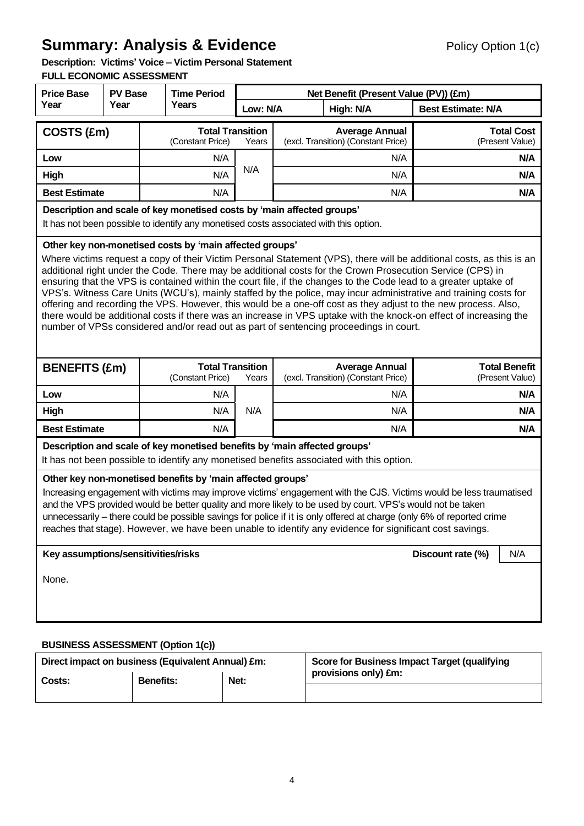# **Summary: Analysis & Evidence** Policy Option 1(c)

**Description: Victims' Voice – Victim Personal Statement** 

## **FULL ECONOMIC ASSESSMENT**

| <b>Price Base</b>                                               | <b>PV Base</b>                                                                                                                                                                                                                                                                                                                                                                                                                                                                                                                                                                                                                                                                                                                                                                                                                                                       |              | <b>Time Period</b>                                                        |          |  | Net Benefit (Present Value (PV)) (£m)                                                    |                           |                                         |  |
|-----------------------------------------------------------------|----------------------------------------------------------------------------------------------------------------------------------------------------------------------------------------------------------------------------------------------------------------------------------------------------------------------------------------------------------------------------------------------------------------------------------------------------------------------------------------------------------------------------------------------------------------------------------------------------------------------------------------------------------------------------------------------------------------------------------------------------------------------------------------------------------------------------------------------------------------------|--------------|---------------------------------------------------------------------------|----------|--|------------------------------------------------------------------------------------------|---------------------------|-----------------------------------------|--|
| Year                                                            | Year                                                                                                                                                                                                                                                                                                                                                                                                                                                                                                                                                                                                                                                                                                                                                                                                                                                                 | <b>Years</b> |                                                                           | Low: N/A |  | High: N/A                                                                                | <b>Best Estimate: N/A</b> |                                         |  |
| COSTS (£m)                                                      |                                                                                                                                                                                                                                                                                                                                                                                                                                                                                                                                                                                                                                                                                                                                                                                                                                                                      |              | <b>Total Transition</b><br>(Constant Price)                               | Years    |  | <b>Average Annual</b><br>(excl. Transition) (Constant Price)                             |                           | <b>Total Cost</b><br>(Present Value)    |  |
| Low                                                             |                                                                                                                                                                                                                                                                                                                                                                                                                                                                                                                                                                                                                                                                                                                                                                                                                                                                      |              | N/A                                                                       |          |  | N/A                                                                                      |                           | N/A                                     |  |
| High                                                            |                                                                                                                                                                                                                                                                                                                                                                                                                                                                                                                                                                                                                                                                                                                                                                                                                                                                      |              | N/A                                                                       | N/A      |  | N/A                                                                                      |                           | N/A                                     |  |
| <b>Best Estimate</b>                                            |                                                                                                                                                                                                                                                                                                                                                                                                                                                                                                                                                                                                                                                                                                                                                                                                                                                                      |              | N/A                                                                       |          |  | N/A                                                                                      |                           | N/A                                     |  |
|                                                                 | Description and scale of key monetised costs by 'main affected groups'<br>It has not been possible to identify any monetised costs associated with this option.                                                                                                                                                                                                                                                                                                                                                                                                                                                                                                                                                                                                                                                                                                      |              |                                                                           |          |  |                                                                                          |                           |                                         |  |
|                                                                 | Other key non-monetised costs by 'main affected groups'<br>Where victims request a copy of their Victim Personal Statement (VPS), there will be additional costs, as this is an<br>additional right under the Code. There may be additional costs for the Crown Prosecution Service (CPS) in<br>ensuring that the VPS is contained within the court file, if the changes to the Code lead to a greater uptake of<br>VPS's. Witness Care Units (WCU's), mainly staffed by the police, may incur administrative and training costs for<br>offering and recording the VPS. However, this would be a one-off cost as they adjust to the new process. Also,<br>there would be additional costs if there was an increase in VPS uptake with the knock-on effect of increasing the<br>number of VPSs considered and/or read out as part of sentencing proceedings in court. |              |                                                                           |          |  |                                                                                          |                           |                                         |  |
| <b>BENEFITS (£m)</b>                                            |                                                                                                                                                                                                                                                                                                                                                                                                                                                                                                                                                                                                                                                                                                                                                                                                                                                                      |              | <b>Total Transition</b><br>(Constant Price)                               | Years    |  | <b>Average Annual</b><br>(excl. Transition) (Constant Price)                             |                           | <b>Total Benefit</b><br>(Present Value) |  |
| Low                                                             |                                                                                                                                                                                                                                                                                                                                                                                                                                                                                                                                                                                                                                                                                                                                                                                                                                                                      |              | N/A                                                                       |          |  | N/A                                                                                      | N/A                       |                                         |  |
| High                                                            |                                                                                                                                                                                                                                                                                                                                                                                                                                                                                                                                                                                                                                                                                                                                                                                                                                                                      |              | N/A                                                                       | N/A      |  | N/A                                                                                      |                           | N/A                                     |  |
| <b>Best Estimate</b>                                            |                                                                                                                                                                                                                                                                                                                                                                                                                                                                                                                                                                                                                                                                                                                                                                                                                                                                      |              | N/A                                                                       |          |  | N/A                                                                                      |                           | N/A                                     |  |
|                                                                 |                                                                                                                                                                                                                                                                                                                                                                                                                                                                                                                                                                                                                                                                                                                                                                                                                                                                      |              | Description and scale of key monetised benefits by 'main affected groups' |          |  | It has not been possible to identify any monetised benefits associated with this option. |                           |                                         |  |
|                                                                 | Other key non-monetised benefits by 'main affected groups'<br>Increasing engagement with victims may improve victims' engagement with the CJS. Victims would be less traumatised<br>and the VPS provided would be better quality and more likely to be used by court. VPS's would not be taken<br>unnecessarily – there could be possible savings for police if it is only offered at charge (only 6% of reported crime<br>reaches that stage). However, we have been unable to identify any evidence for significant cost savings.                                                                                                                                                                                                                                                                                                                                  |              |                                                                           |          |  |                                                                                          |                           |                                         |  |
| Key assumptions/sensitivities/risks<br>Discount rate (%)<br>N/A |                                                                                                                                                                                                                                                                                                                                                                                                                                                                                                                                                                                                                                                                                                                                                                                                                                                                      |              |                                                                           |          |  |                                                                                          |                           |                                         |  |
| None.                                                           |                                                                                                                                                                                                                                                                                                                                                                                                                                                                                                                                                                                                                                                                                                                                                                                                                                                                      |              |                                                                           |          |  |                                                                                          |                           |                                         |  |
|                                                                 | <b>BUSINESS ASSESSMENT (Option 1(c))</b>                                                                                                                                                                                                                                                                                                                                                                                                                                                                                                                                                                                                                                                                                                                                                                                                                             |              |                                                                           |          |  |                                                                                          |                           |                                         |  |

| Direct impact on business (Equivalent Annual) £m: |                  |      | <b>Score for Business Impact Target (qualifying</b> |
|---------------------------------------------------|------------------|------|-----------------------------------------------------|
| Costs:                                            | <b>Benefits:</b> | Net: | provisions only) £m:                                |
|                                                   |                  |      |                                                     |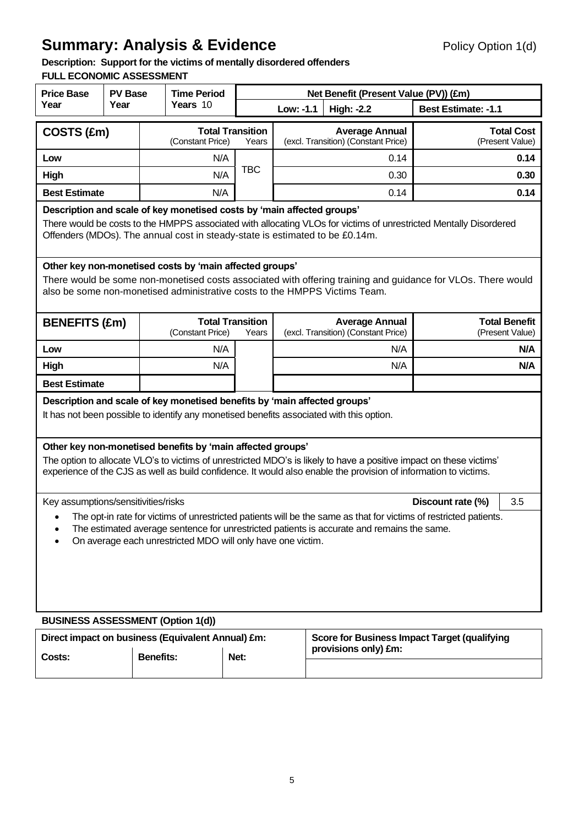# **Summary: Analysis & Evidence** Policy Option 1(d)

# **Description: Support for the victims of mentally disordered offenders**

## **FULL ECONOMIC ASSESSMENT**

| <b>Price Base</b>                                                                                                                                                                                                                                                              | <b>PV Base</b>                                                                                                                                                                                                                                                              |                  | <b>Time Period</b> |                                  |                                                              |  | Net Benefit (Present Value (PV)) (£m)                                                                            |                                                                                                                     |
|--------------------------------------------------------------------------------------------------------------------------------------------------------------------------------------------------------------------------------------------------------------------------------|-----------------------------------------------------------------------------------------------------------------------------------------------------------------------------------------------------------------------------------------------------------------------------|------------------|--------------------|----------------------------------|--------------------------------------------------------------|--|------------------------------------------------------------------------------------------------------------------|---------------------------------------------------------------------------------------------------------------------|
| Year                                                                                                                                                                                                                                                                           | Year                                                                                                                                                                                                                                                                        |                  | Years 10           |                                  | Low: -1.1                                                    |  | <b>High: -2.2</b>                                                                                                | <b>Best Estimate: -1.1</b>                                                                                          |
| COSTS (£m)                                                                                                                                                                                                                                                                     |                                                                                                                                                                                                                                                                             |                  | (Constant Price)   | <b>Total Transition</b><br>Years |                                                              |  | <b>Average Annual</b><br>(excl. Transition) (Constant Price)                                                     | <b>Total Cost</b><br>(Present Value)                                                                                |
| Low                                                                                                                                                                                                                                                                            |                                                                                                                                                                                                                                                                             |                  | N/A                |                                  |                                                              |  | 0.14                                                                                                             | 0.14                                                                                                                |
| High                                                                                                                                                                                                                                                                           |                                                                                                                                                                                                                                                                             |                  | N/A                | <b>TBC</b>                       |                                                              |  | 0.30                                                                                                             | 0.30                                                                                                                |
| <b>Best Estimate</b>                                                                                                                                                                                                                                                           |                                                                                                                                                                                                                                                                             |                  | N/A                |                                  |                                                              |  | 0.14                                                                                                             | 0.14                                                                                                                |
|                                                                                                                                                                                                                                                                                | Description and scale of key monetised costs by 'main affected groups'<br>There would be costs to the HMPPS associated with allocating VLOs for victims of unrestricted Mentally Disordered<br>Offenders (MDOs). The annual cost in steady-state is estimated to be £0.14m. |                  |                    |                                  |                                                              |  |                                                                                                                  |                                                                                                                     |
|                                                                                                                                                                                                                                                                                | Other key non-monetised costs by 'main affected groups'<br>There would be some non-monetised costs associated with offering training and guidance for VLOs. There would<br>also be some non-monetised administrative costs to the HMPPS Victims Team.                       |                  |                    |                                  |                                                              |  |                                                                                                                  |                                                                                                                     |
| <b>BENEFITS (£m)</b>                                                                                                                                                                                                                                                           |                                                                                                                                                                                                                                                                             |                  | (Constant Price)   | <b>Total Transition</b><br>Years | <b>Average Annual</b><br>(excl. Transition) (Constant Price) |  | <b>Total Benefit</b><br>(Present Value)                                                                          |                                                                                                                     |
| Low                                                                                                                                                                                                                                                                            |                                                                                                                                                                                                                                                                             |                  | N/A                |                                  |                                                              |  | N/A                                                                                                              | N/A                                                                                                                 |
| High                                                                                                                                                                                                                                                                           |                                                                                                                                                                                                                                                                             |                  | N/A                |                                  |                                                              |  | N/A                                                                                                              | N/A                                                                                                                 |
| <b>Best Estimate</b>                                                                                                                                                                                                                                                           |                                                                                                                                                                                                                                                                             |                  |                    |                                  |                                                              |  |                                                                                                                  |                                                                                                                     |
| Description and scale of key monetised benefits by 'main affected groups'                                                                                                                                                                                                      |                                                                                                                                                                                                                                                                             |                  |                    |                                  |                                                              |  | It has not been possible to identify any monetised benefits associated with this option.                         |                                                                                                                     |
| Other key non-monetised benefits by 'main affected groups'                                                                                                                                                                                                                     |                                                                                                                                                                                                                                                                             |                  |                    |                                  |                                                              |  | experience of the CJS as well as build confidence. It would also enable the provision of information to victims. | The option to allocate VLO's to victims of unrestricted MDO's is likely to have a positive impact on these victims' |
| Key assumptions/sensitivities/risks                                                                                                                                                                                                                                            |                                                                                                                                                                                                                                                                             |                  |                    |                                  |                                                              |  |                                                                                                                  | 3.5<br>Discount rate (%)                                                                                            |
| The opt-in rate for victims of unrestricted patients will be the same as that for victims of restricted patients.<br>The estimated average sentence for unrestricted patients is accurate and remains the same.<br>On average each unrestricted MDO will only have one victim. |                                                                                                                                                                                                                                                                             |                  |                    |                                  |                                                              |  |                                                                                                                  |                                                                                                                     |
| <b>BUSINESS ASSESSMENT (Option 1(d))</b>                                                                                                                                                                                                                                       |                                                                                                                                                                                                                                                                             |                  |                    |                                  |                                                              |  |                                                                                                                  |                                                                                                                     |
| Direct impact on business (Equivalent Annual) £m:                                                                                                                                                                                                                              |                                                                                                                                                                                                                                                                             |                  |                    |                                  |                                                              |  | provisions only) £m:                                                                                             | <b>Score for Business Impact Target (qualifying</b>                                                                 |
| Costs:                                                                                                                                                                                                                                                                         |                                                                                                                                                                                                                                                                             | <b>Benefits:</b> | Net:               |                                  |                                                              |  |                                                                                                                  |                                                                                                                     |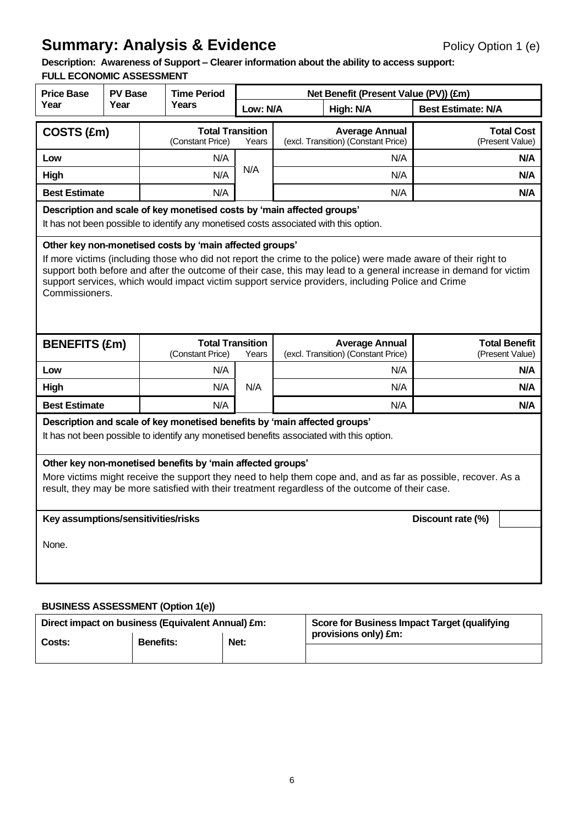# **Summary: Analysis & Evidence** Policy Option 1 (e)

**Description: Awareness of Support – Clearer information about the ability to access support: FULL ECONOMIC ASSESSMENT**

| LL LUUNUMIU AUJLUJINL                                                                                                                                                                                                                                                                                                                                                                                                 | <b>Price Base</b><br><b>PV Base</b>                       |              | <b>Time Period</b>                                                        |          |                                                              | Net Benefit (Present Value (PV)) (£m)                                                    |                                         |     |
|-----------------------------------------------------------------------------------------------------------------------------------------------------------------------------------------------------------------------------------------------------------------------------------------------------------------------------------------------------------------------------------------------------------------------|-----------------------------------------------------------|--------------|---------------------------------------------------------------------------|----------|--------------------------------------------------------------|------------------------------------------------------------------------------------------|-----------------------------------------|-----|
| Year                                                                                                                                                                                                                                                                                                                                                                                                                  | Year                                                      | <b>Years</b> |                                                                           | Low: N/A |                                                              | High: N/A                                                                                | <b>Best Estimate: N/A</b>               |     |
|                                                                                                                                                                                                                                                                                                                                                                                                                       | <b>Total Transition</b><br>COSTS (£m)<br>(Constant Price) |              | Years                                                                     |          | <b>Average Annual</b><br>(excl. Transition) (Constant Price) |                                                                                          | <b>Total Cost</b><br>(Present Value)    |     |
| Low                                                                                                                                                                                                                                                                                                                                                                                                                   |                                                           |              | N/A                                                                       |          |                                                              | N/A                                                                                      |                                         | N/A |
| High                                                                                                                                                                                                                                                                                                                                                                                                                  |                                                           |              | N/A                                                                       | N/A      |                                                              | N/A                                                                                      |                                         | N/A |
| <b>Best Estimate</b>                                                                                                                                                                                                                                                                                                                                                                                                  |                                                           |              | N/A                                                                       |          |                                                              | N/A                                                                                      |                                         | N/A |
| Description and scale of key monetised costs by 'main affected groups'<br>It has not been possible to identify any monetised costs associated with this option.                                                                                                                                                                                                                                                       |                                                           |              |                                                                           |          |                                                              |                                                                                          |                                         |     |
| Other key non-monetised costs by 'main affected groups'<br>If more victims (including those who did not report the crime to the police) were made aware of their right to<br>support both before and after the outcome of their case, this may lead to a general increase in demand for victim<br>support services, which would impact victim support service providers, including Police and Crime<br>Commissioners. |                                                           |              |                                                                           |          |                                                              |                                                                                          |                                         |     |
| <b>BENEFITS (£m)</b>                                                                                                                                                                                                                                                                                                                                                                                                  |                                                           |              | <b>Total Transition</b><br>(Constant Price)                               | Years    |                                                              | <b>Average Annual</b><br>(excl. Transition) (Constant Price)                             | <b>Total Benefit</b><br>(Present Value) |     |
| Low                                                                                                                                                                                                                                                                                                                                                                                                                   |                                                           |              | N/A                                                                       |          |                                                              | N/A                                                                                      |                                         | N/A |
| High                                                                                                                                                                                                                                                                                                                                                                                                                  |                                                           |              | N/A                                                                       | N/A      |                                                              | N/A                                                                                      |                                         | N/A |
| <b>Best Estimate</b>                                                                                                                                                                                                                                                                                                                                                                                                  |                                                           |              | N/A                                                                       |          |                                                              | N/A                                                                                      |                                         | N/A |
|                                                                                                                                                                                                                                                                                                                                                                                                                       |                                                           |              | Description and scale of key monetised benefits by 'main affected groups' |          |                                                              | It has not been possible to identify any monetised benefits associated with this option. |                                         |     |
| Other key non-monetised benefits by 'main affected groups'<br>More victims might receive the support they need to help them cope and, and as far as possible, recover. As a<br>result, they may be more satisfied with their treatment regardless of the outcome of their case.<br>Key assumptions/sensitivities/risks<br>Discount rate (%)                                                                           |                                                           |              |                                                                           |          |                                                              |                                                                                          |                                         |     |
| None.                                                                                                                                                                                                                                                                                                                                                                                                                 |                                                           |              |                                                                           |          |                                                              |                                                                                          |                                         |     |
|                                                                                                                                                                                                                                                                                                                                                                                                                       | <b>BUSINESS ASSESSMENT (Option 1(e))</b>                  |              |                                                                           |          |                                                              |                                                                                          |                                         |     |

# Direct impact on business (Equivalent Annual) £m: Score for Business Impact Target (qualifying **provisions only) £m:** Costs: **Benefits:** Net: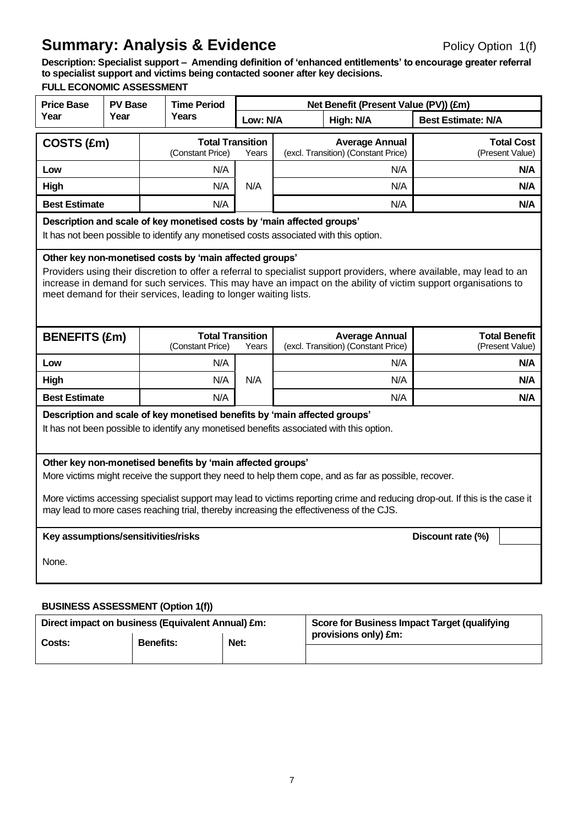# **Summary: Analysis & Evidence** Policy Option 1(f)

**Description: Specialist support – Amending definition of 'enhanced entitlements' to encourage greater referral to specialist support and victims being contacted sooner after key decisions. FULL ECONOMIC ASSESSMENT**

| <b>Price Base</b>                        | <b>PV Base</b>                                                                                                                                                                                                                                                                                                                                                                               | <b>Time Period</b> |                                             |          | Net Benefit (Present Value (PV)) (£m)                                                                                                                                 |                                         |  |
|------------------------------------------|----------------------------------------------------------------------------------------------------------------------------------------------------------------------------------------------------------------------------------------------------------------------------------------------------------------------------------------------------------------------------------------------|--------------------|---------------------------------------------|----------|-----------------------------------------------------------------------------------------------------------------------------------------------------------------------|-----------------------------------------|--|
| Year                                     | Year                                                                                                                                                                                                                                                                                                                                                                                         |                    | Years                                       | Low: N/A | High: N/A                                                                                                                                                             | <b>Best Estimate: N/A</b>               |  |
| COSTS (£m)                               |                                                                                                                                                                                                                                                                                                                                                                                              |                    | <b>Total Transition</b><br>(Constant Price) | Years    | <b>Average Annual</b><br>(excl. Transition) (Constant Price)                                                                                                          | <b>Total Cost</b><br>(Present Value)    |  |
| Low                                      |                                                                                                                                                                                                                                                                                                                                                                                              | N/A                |                                             |          | N/A                                                                                                                                                                   | N/A                                     |  |
| High                                     |                                                                                                                                                                                                                                                                                                                                                                                              |                    | N/A                                         | N/A      | N/A                                                                                                                                                                   | N/A                                     |  |
| <b>Best Estimate</b>                     |                                                                                                                                                                                                                                                                                                                                                                                              |                    | N/A                                         |          | N/A                                                                                                                                                                   | N/A                                     |  |
|                                          | Description and scale of key monetised costs by 'main affected groups'<br>It has not been possible to identify any monetised costs associated with this option.                                                                                                                                                                                                                              |                    |                                             |          |                                                                                                                                                                       |                                         |  |
|                                          | Other key non-monetised costs by 'main affected groups'<br>Providers using their discretion to offer a referral to specialist support providers, where available, may lead to an<br>increase in demand for such services. This may have an impact on the ability of victim support organisations to<br>meet demand for their services, leading to longer waiting lists.                      |                    |                                             |          |                                                                                                                                                                       |                                         |  |
| <b>BENEFITS (£m)</b>                     |                                                                                                                                                                                                                                                                                                                                                                                              |                    | <b>Total Transition</b><br>(Constant Price) | Years    | <b>Average Annual</b><br>(excl. Transition) (Constant Price)                                                                                                          | <b>Total Benefit</b><br>(Present Value) |  |
| Low                                      |                                                                                                                                                                                                                                                                                                                                                                                              |                    | N/A                                         |          | N/A                                                                                                                                                                   | N/A                                     |  |
| High                                     |                                                                                                                                                                                                                                                                                                                                                                                              |                    | N/A                                         | N/A      | N/A                                                                                                                                                                   | N/A                                     |  |
| <b>Best Estimate</b>                     |                                                                                                                                                                                                                                                                                                                                                                                              |                    | N/A                                         |          | N/A                                                                                                                                                                   | N/A                                     |  |
|                                          |                                                                                                                                                                                                                                                                                                                                                                                              |                    |                                             |          | Description and scale of key monetised benefits by 'main affected groups'<br>It has not been possible to identify any monetised benefits associated with this option. |                                         |  |
|                                          | Other key non-monetised benefits by 'main affected groups'<br>More victims might receive the support they need to help them cope, and as far as possible, recover.<br>More victims accessing specialist support may lead to victims reporting crime and reducing drop-out. If this is the case it<br>may lead to more cases reaching trial, thereby increasing the effectiveness of the CJS. |                    |                                             |          |                                                                                                                                                                       |                                         |  |
|                                          | Key assumptions/sensitivities/risks<br>Discount rate (%)                                                                                                                                                                                                                                                                                                                                     |                    |                                             |          |                                                                                                                                                                       |                                         |  |
| None.                                    |                                                                                                                                                                                                                                                                                                                                                                                              |                    |                                             |          |                                                                                                                                                                       |                                         |  |
| <b>BUSINESS ASSESSMENT (Option 1(f))</b> |                                                                                                                                                                                                                                                                                                                                                                                              |                    |                                             |          |                                                                                                                                                                       |                                         |  |

| Direct impact on business (Equivalent Annual) £m: |                  |      | Score for Business Impact Target (qualifying |
|---------------------------------------------------|------------------|------|----------------------------------------------|
| Costs:                                            | <b>Benefits:</b> | Net: | provisions only) £m:                         |
|                                                   |                  |      |                                              |
|                                                   |                  |      |                                              |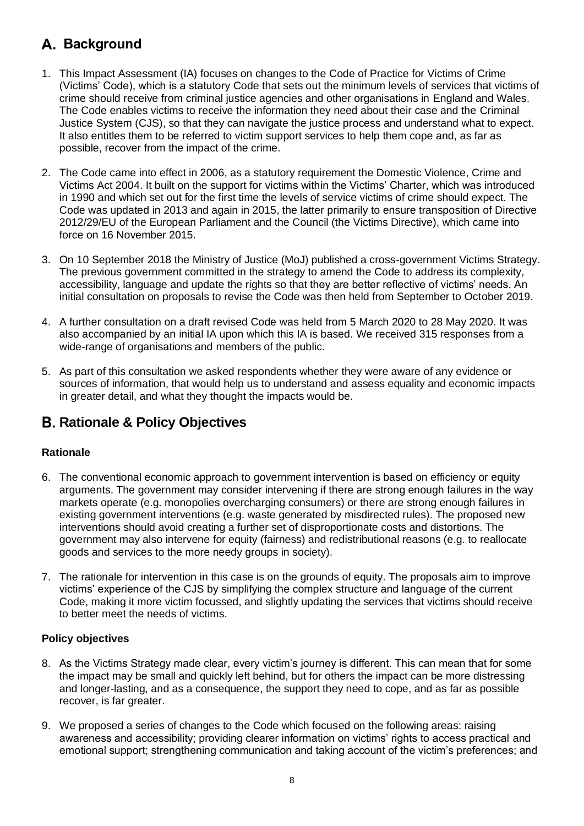# **Background**

- 1. This Impact Assessment (IA) focuses on changes to the Code of Practice for Victims of Crime (Victims' Code), which is a statutory Code that sets out the minimum levels of services that victims of crime should receive from criminal justice agencies and other organisations in England and Wales. The Code enables victims to receive the information they need about their case and the Criminal Justice System (CJS), so that they can navigate the justice process and understand what to expect. It also entitles them to be referred to victim support services to help them cope and, as far as possible, recover from the impact of the crime.
- 2. The Code came into effect in 2006, as a statutory requirement the Domestic Violence, Crime and Victims Act 2004. It built on the support for victims within the Victims' Charter, which was introduced in 1990 and which set out for the first time the levels of service victims of crime should expect. The Code was updated in 2013 and again in 2015, the latter primarily to ensure transposition of Directive 2012/29/EU of the European Parliament and the Council (the Victims Directive), which came into force on 16 November 2015.
- 3. On 10 September 2018 the Ministry of Justice (MoJ) published a cross-government Victims Strategy. The previous government committed in the strategy to amend the Code to address its complexity, accessibility, language and update the rights so that they are better reflective of victims' needs. An initial consultation on proposals to revise the Code was then held from September to October 2019.
- 4. A further consultation on a draft revised Code was held from 5 March 2020 to 28 May 2020. It was also accompanied by an initial IA upon which this IA is based. We received 315 responses from a wide-range of organisations and members of the public.
- 5. As part of this consultation we asked respondents whether they were aware of any evidence or sources of information, that would help us to understand and assess equality and economic impacts in greater detail, and what they thought the impacts would be.

# **Rationale & Policy Objectives**

## **Rationale**

- 6. The conventional economic approach to government intervention is based on efficiency or equity arguments. The government may consider intervening if there are strong enough failures in the way markets operate (e.g. monopolies overcharging consumers) or there are strong enough failures in existing government interventions (e.g. waste generated by misdirected rules). The proposed new interventions should avoid creating a further set of disproportionate costs and distortions. The government may also intervene for equity (fairness) and redistributional reasons (e.g. to reallocate goods and services to the more needy groups in society).
- 7. The rationale for intervention in this case is on the grounds of equity. The proposals aim to improve victims' experience of the CJS by simplifying the complex structure and language of the current Code, making it more victim focussed, and slightly updating the services that victims should receive to better meet the needs of victims.

## **Policy objectives**

- 8. As the Victims Strategy made clear, every victim's journey is different. This can mean that for some the impact may be small and quickly left behind, but for others the impact can be more distressing and longer-lasting, and as a consequence, the support they need to cope, and as far as possible recover, is far greater.
- 9. We proposed a series of changes to the Code which focused on the following areas: raising awareness and accessibility; providing clearer information on victims' rights to access practical and emotional support; strengthening communication and taking account of the victim's preferences; and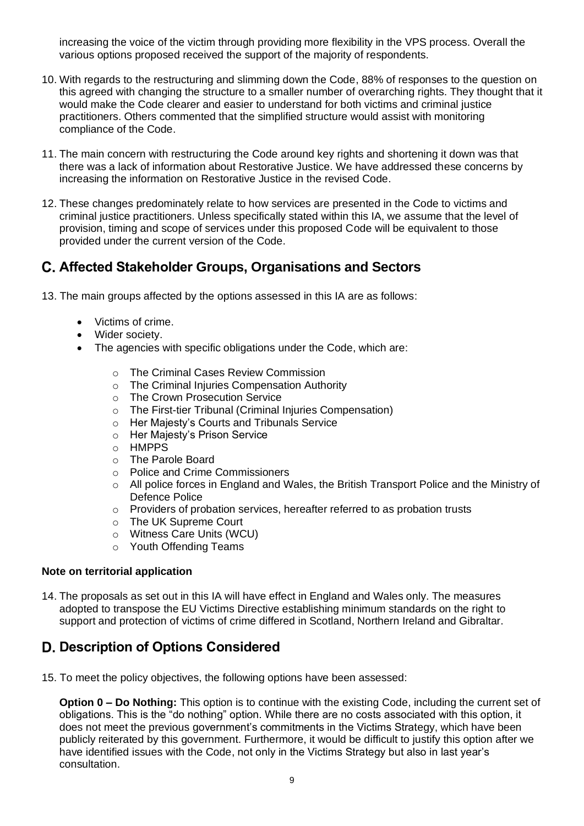increasing the voice of the victim through providing more flexibility in the VPS process. Overall the various options proposed received the support of the majority of respondents.

- 10. With regards to the restructuring and slimming down the Code, 88% of responses to the question on this agreed with changing the structure to a smaller number of overarching rights. They thought that it would make the Code clearer and easier to understand for both victims and criminal justice practitioners. Others commented that the simplified structure would assist with monitoring compliance of the Code.
- 11. The main concern with restructuring the Code around key rights and shortening it down was that there was a lack of information about Restorative Justice. We have addressed these concerns by increasing the information on Restorative Justice in the revised Code.
- 12. These changes predominately relate to how services are presented in the Code to victims and criminal justice practitioners. Unless specifically stated within this IA, we assume that the level of provision, timing and scope of services under this proposed Code will be equivalent to those provided under the current version of the Code.

# **Affected Stakeholder Groups, Organisations and Sectors**

- 13. The main groups affected by the options assessed in this IA are as follows:
	- Victims of crime.
	- Wider society.
	- The agencies with specific obligations under the Code, which are:
		- o The Criminal Cases Review Commission
		- $\circ$  The Criminal Injuries Compensation Authority
		- o The Crown Prosecution Service
		- o The First-tier Tribunal (Criminal Injuries Compensation)
		- o Her Majesty's Courts and Tribunals Service
		- o Her Majesty's Prison Service
		- o HMPPS
		- o The Parole Board
		- o Police and Crime Commissioners
		- $\circ$  All police forces in England and Wales, the British Transport Police and the Ministry of Defence Police
		- o Providers of probation services, hereafter referred to as probation trusts
		- o The UK Supreme Court
		- o Witness Care Units (WCU)
		- o Youth Offending Teams

#### **Note on territorial application**

14. The proposals as set out in this IA will have effect in England and Wales only. The measures adopted to transpose the EU Victims Directive establishing minimum standards on the right to support and protection of victims of crime differed in Scotland, Northern Ireland and Gibraltar.

# **D. Description of Options Considered**

15. To meet the policy objectives, the following options have been assessed:

**Option 0 – Do Nothing:** This option is to continue with the existing Code, including the current set of obligations. This is the "do nothing" option. While there are no costs associated with this option, it does not meet the previous government's commitments in the Victims Strategy, which have been publicly reiterated by this government. Furthermore, it would be difficult to justify this option after we have identified issues with the Code, not only in the Victims Strategy but also in last year's consultation.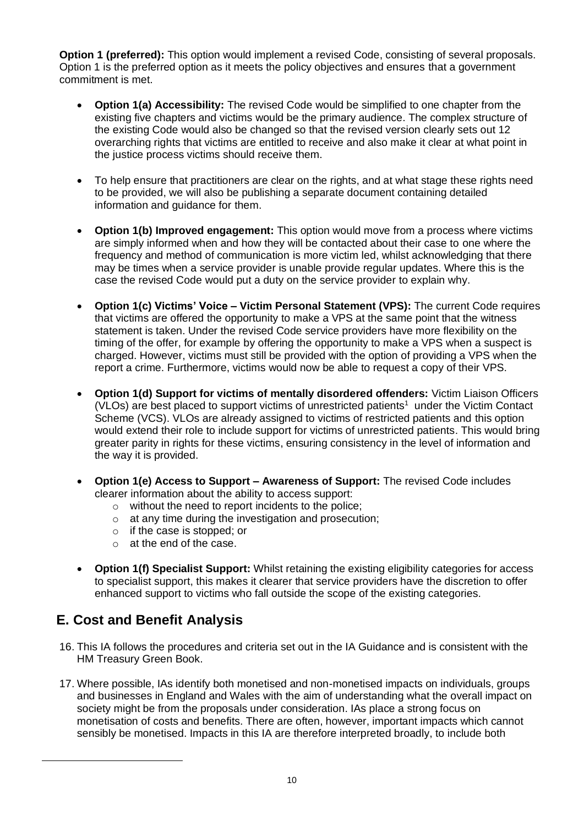**Option 1 (preferred):** This option would implement a revised Code, consisting of several proposals. Option 1 is the preferred option as it meets the policy objectives and ensures that a government commitment is met.

- **Option 1(a) Accessibility:** The revised Code would be simplified to one chapter from the existing five chapters and victims would be the primary audience. The complex structure of the existing Code would also be changed so that the revised version clearly sets out 12 overarching rights that victims are entitled to receive and also make it clear at what point in the justice process victims should receive them.
- To help ensure that practitioners are clear on the rights, and at what stage these rights need to be provided, we will also be publishing a separate document containing detailed information and guidance for them.
- **Option 1(b) Improved engagement:** This option would move from a process where victims are simply informed when and how they will be contacted about their case to one where the frequency and method of communication is more victim led, whilst acknowledging that there may be times when a service provider is unable provide regular updates. Where this is the case the revised Code would put a duty on the service provider to explain why.
- **Option 1(c) Victims' Voice – Victim Personal Statement (VPS):** The current Code requires that victims are offered the opportunity to make a VPS at the same point that the witness statement is taken. Under the revised Code service providers have more flexibility on the timing of the offer, for example by offering the opportunity to make a VPS when a suspect is charged. However, victims must still be provided with the option of providing a VPS when the report a crime. Furthermore, victims would now be able to request a copy of their VPS.
- **Option 1(d) Support for victims of mentally disordered offenders:** Victim Liaison Officers (VLOs) are best placed to support victims of unrestricted patients<sup>1</sup> under the Victim Contact Scheme (VCS). VLOs are already assigned to victims of restricted patients and this option would extend their role to include support for victims of unrestricted patients. This would bring greater parity in rights for these victims, ensuring consistency in the level of information and the way it is provided.
- **Option 1(e) Access to Support – Awareness of Support:** The revised Code includes clearer information about the ability to access support:
	- o without the need to report incidents to the police;
	- o at any time during the investigation and prosecution;
	- o if the case is stopped; or
	- o at the end of the case.
- **Option 1(f) Specialist Support:** Whilst retaining the existing eligibility categories for access to specialist support, this makes it clearer that service providers have the discretion to offer enhanced support to victims who fall outside the scope of the existing categories.

# **E. Cost and Benefit Analysis**

- 16. This IA follows the procedures and criteria set out in the IA Guidance and is consistent with the HM Treasury Green Book.
- 17. Where possible, IAs identify both monetised and non-monetised impacts on individuals, groups and businesses in England and Wales with the aim of understanding what the overall impact on society might be from the proposals under consideration. IAs place a strong focus on monetisation of costs and benefits. There are often, however, important impacts which cannot sensibly be monetised. Impacts in this IA are therefore interpreted broadly, to include both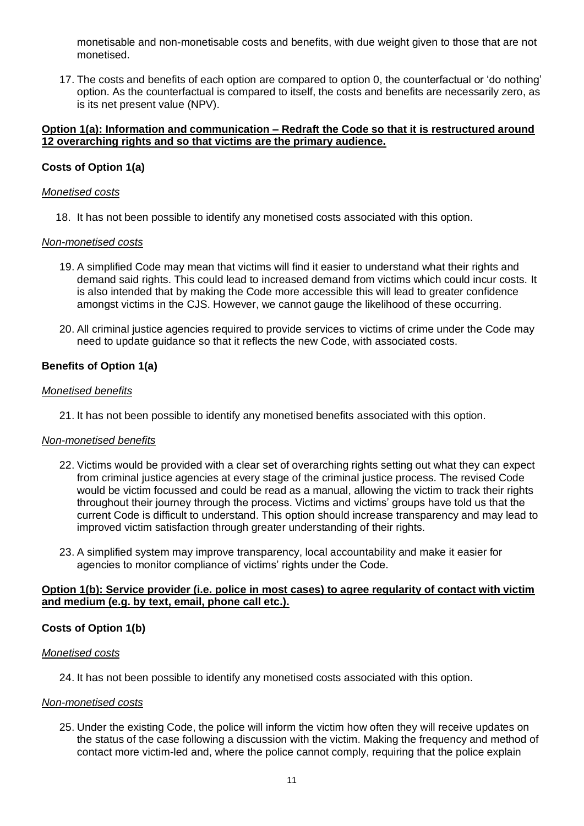monetisable and non-monetisable costs and benefits, with due weight given to those that are not monetised.

17. The costs and benefits of each option are compared to option 0, the counterfactual or 'do nothing' option. As the counterfactual is compared to itself, the costs and benefits are necessarily zero, as is its net present value (NPV).

#### **Option 1(a): Information and communication – Redraft the Code so that it is restructured around 12 overarching rights and so that victims are the primary audience.**

#### **Costs of Option 1(a)**

#### *Monetised costs*

18. It has not been possible to identify any monetised costs associated with this option.

#### *Non-monetised costs*

- 19. A simplified Code may mean that victims will find it easier to understand what their rights and demand said rights. This could lead to increased demand from victims which could incur costs. It is also intended that by making the Code more accessible this will lead to greater confidence amongst victims in the CJS. However, we cannot gauge the likelihood of these occurring.
- 20. All criminal justice agencies required to provide services to victims of crime under the Code may need to update guidance so that it reflects the new Code, with associated costs.

### **Benefits of Option 1(a)**

#### *Monetised benefits*

21. It has not been possible to identify any monetised benefits associated with this option.

#### *Non-monetised benefits*

- 22. Victims would be provided with a clear set of overarching rights setting out what they can expect from criminal justice agencies at every stage of the criminal justice process. The revised Code would be victim focussed and could be read as a manual, allowing the victim to track their rights throughout their journey through the process. Victims and victims' groups have told us that the current Code is difficult to understand. This option should increase transparency and may lead to improved victim satisfaction through greater understanding of their rights.
- 23. A simplified system may improve transparency, local accountability and make it easier for agencies to monitor compliance of victims' rights under the Code.

#### **Option 1(b): Service provider (i.e. police in most cases) to agree regularity of contact with victim and medium (e.g. by text, email, phone call etc.).**

#### **Costs of Option 1(b)**

#### *Monetised costs*

24. It has not been possible to identify any monetised costs associated with this option.

#### *Non-monetised costs*

25. Under the existing Code, the police will inform the victim how often they will receive updates on the status of the case following a discussion with the victim. Making the frequency and method of contact more victim-led and, where the police cannot comply, requiring that the police explain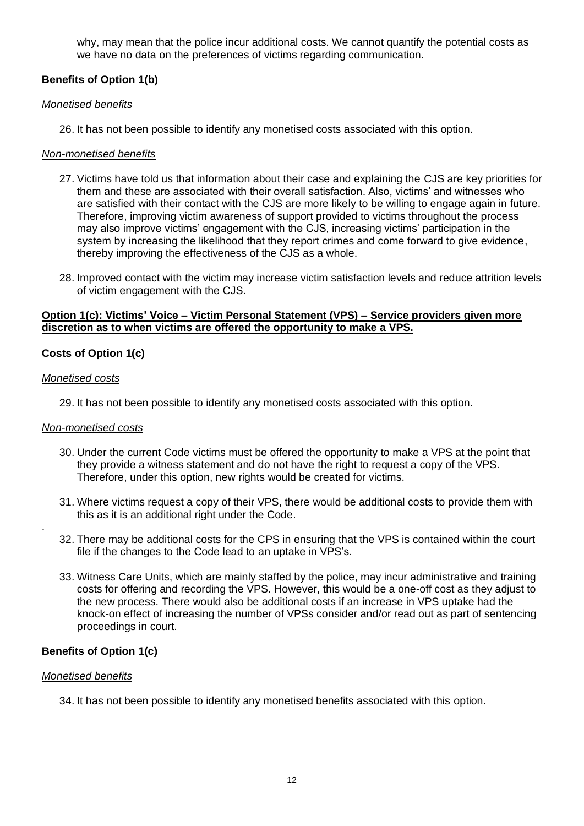why, may mean that the police incur additional costs. We cannot quantify the potential costs as we have no data on the preferences of victims regarding communication.

### **Benefits of Option 1(b)**

#### *Monetised benefits*

26. It has not been possible to identify any monetised costs associated with this option.

#### *Non-monetised benefits*

- 27. Victims have told us that information about their case and explaining the CJS are key priorities for them and these are associated with their overall satisfaction. Also, victims' and witnesses who are satisfied with their contact with the CJS are more likely to be willing to engage again in future. Therefore, improving victim awareness of support provided to victims throughout the process may also improve victims' engagement with the CJS, increasing victims' participation in the system by increasing the likelihood that they report crimes and come forward to give evidence, thereby improving the effectiveness of the CJS as a whole.
- 28. Improved contact with the victim may increase victim satisfaction levels and reduce attrition levels of victim engagement with the CJS.

#### **Option 1(c): Victims' Voice – Victim Personal Statement (VPS) – Service providers given more discretion as to when victims are offered the opportunity to make a VPS.**

#### **Costs of Option 1(c)**

#### *Monetised costs*

.

29. It has not been possible to identify any monetised costs associated with this option.

#### *Non-monetised costs*

- 30. Under the current Code victims must be offered the opportunity to make a VPS at the point that they provide a witness statement and do not have the right to request a copy of the VPS. Therefore, under this option, new rights would be created for victims.
- 31. Where victims request a copy of their VPS, there would be additional costs to provide them with this as it is an additional right under the Code.
- 32. There may be additional costs for the CPS in ensuring that the VPS is contained within the court file if the changes to the Code lead to an uptake in VPS's.
- 33. Witness Care Units, which are mainly staffed by the police, may incur administrative and training costs for offering and recording the VPS. However, this would be a one-off cost as they adjust to the new process. There would also be additional costs if an increase in VPS uptake had the knock-on effect of increasing the number of VPSs consider and/or read out as part of sentencing proceedings in court.

#### **Benefits of Option 1(c)**

#### *Monetised benefits*

34. It has not been possible to identify any monetised benefits associated with this option.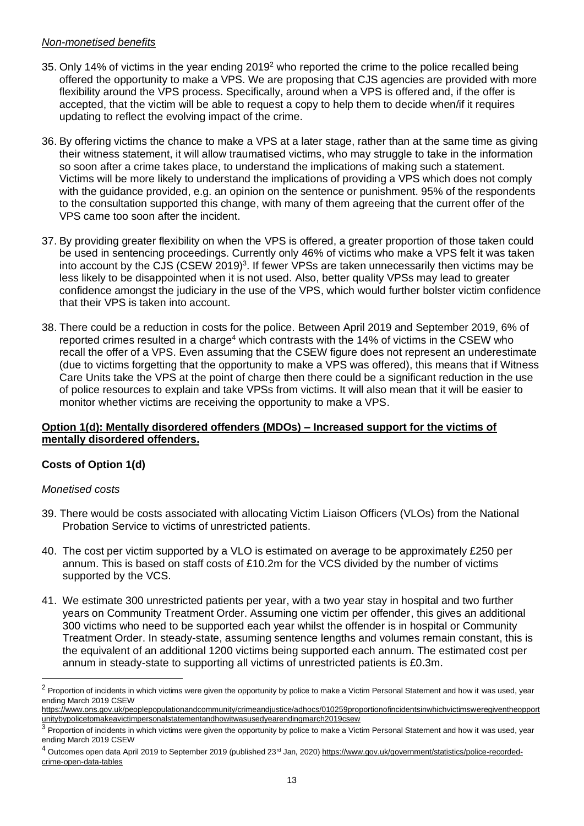### *Non-monetised benefits*

- 35. Only 14% of victims in the year ending 2019<sup>2</sup> who reported the crime to the police recalled being offered the opportunity to make a VPS. We are proposing that CJS agencies are provided with more flexibility around the VPS process. Specifically, around when a VPS is offered and, if the offer is accepted, that the victim will be able to request a copy to help them to decide when/if it requires updating to reflect the evolving impact of the crime.
- 36. By offering victims the chance to make a VPS at a later stage, rather than at the same time as giving their witness statement, it will allow traumatised victims, who may struggle to take in the information so soon after a crime takes place, to understand the implications of making such a statement. Victims will be more likely to understand the implications of providing a VPS which does not comply with the guidance provided, e.g. an opinion on the sentence or punishment. 95% of the respondents to the consultation supported this change, with many of them agreeing that the current offer of the VPS came too soon after the incident.
- 37. By providing greater flexibility on when the VPS is offered, a greater proportion of those taken could be used in sentencing proceedings. Currently only 46% of victims who make a VPS felt it was taken into account by the CJS (CSEW 2019)<sup>3</sup>. If fewer VPSs are taken unnecessarily then victims may be less likely to be disappointed when it is not used. Also, better quality VPSs may lead to greater confidence amongst the judiciary in the use of the VPS, which would further bolster victim confidence that their VPS is taken into account.
- 38. There could be a reduction in costs for the police. Between April 2019 and September 2019, 6% of reported crimes resulted in a charge<sup>4</sup> which contrasts with the 14% of victims in the CSEW who recall the offer of a VPS. Even assuming that the CSEW figure does not represent an underestimate (due to victims forgetting that the opportunity to make a VPS was offered), this means that if Witness Care Units take the VPS at the point of charge then there could be a significant reduction in the use of police resources to explain and take VPSs from victims. It will also mean that it will be easier to monitor whether victims are receiving the opportunity to make a VPS.

### **Option 1(d): Mentally disordered offenders (MDOs) – Increased support for the victims of mentally disordered offenders.**

## **Costs of Option 1(d)**

#### *Monetised costs*

- 39. There would be costs associated with allocating Victim Liaison Officers (VLOs) from the National Probation Service to victims of unrestricted patients.
- 40. The cost per victim supported by a VLO is estimated on average to be approximately £250 per annum. This is based on staff costs of £10.2m for the VCS divided by the number of victims supported by the VCS.
- 41. We estimate 300 unrestricted patients per year, with a two year stay in hospital and two further years on Community Treatment Order. Assuming one victim per offender, this gives an additional 300 victims who need to be supported each year whilst the offender is in hospital or Community Treatment Order. In steady-state, assuming sentence lengths and volumes remain constant, this is the equivalent of an additional 1200 victims being supported each annum. The estimated cost per annum in steady-state to supporting all victims of unrestricted patients is £0.3m.

<sup>&</sup>lt;sup>2</sup> Proportion of incidents in which victims were given the opportunity by police to make a Victim Personal Statement and how it was used, year ending March 2019 CSEW

[https://www.ons.gov.uk/peoplepopulationandcommunity/crimeandjustice/adhocs/010259proportionofincidentsinwhichvictimsweregiventheopport](https://www.ons.gov.uk/peoplepopulationandcommunity/crimeandjustice/adhocs/010259proportionofincidentsinwhichvictimsweregiventheopportunitybypolicetomakeavictimpersonalstatementandhowitwasusedyearendingmarch2019csew) [unitybypolicetomakeavictimpersonalstatementandhowitwasusedyearendingmarch2019csew](https://www.ons.gov.uk/peoplepopulationandcommunity/crimeandjustice/adhocs/010259proportionofincidentsinwhichvictimsweregiventheopportunitybypolicetomakeavictimpersonalstatementandhowitwasusedyearendingmarch2019csew)

<sup>&</sup>lt;sup>3</sup> Proportion of incidents in which victims were given the opportunity by police to make a Victim Personal Statement and how it was used, year ending March 2019 CSEW

<sup>&</sup>lt;sup>4</sup> Outcomes open data April 2019 to September 2019 (published 23<sup>rd</sup> Jan, 2020) [https://www.gov.uk/government/statistics/police-recorded](https://www.gov.uk/government/statistics/police-recorded-crime-open-data-tables)[crime-open-data-tables](https://www.gov.uk/government/statistics/police-recorded-crime-open-data-tables)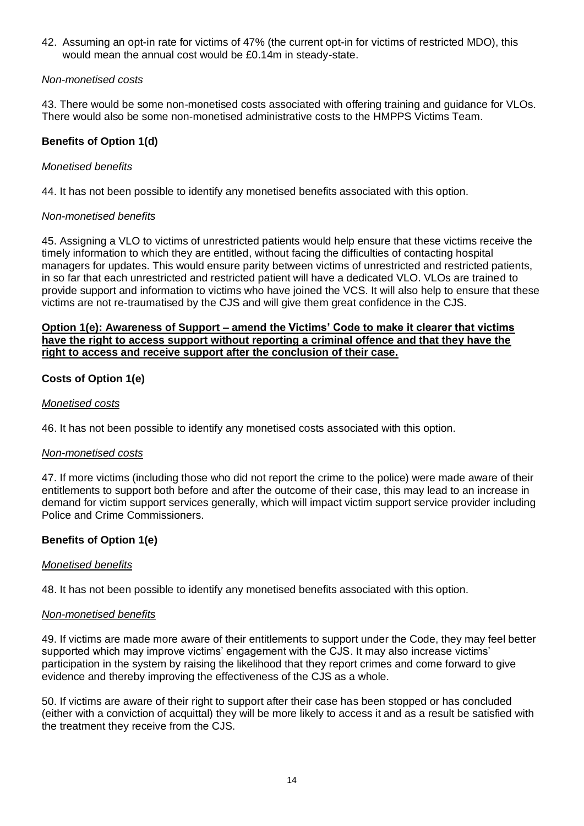42. Assuming an opt-in rate for victims of 47% (the current opt-in for victims of restricted MDO), this would mean the annual cost would be £0.14m in steady-state.

#### *Non-monetised costs*

43. There would be some non-monetised costs associated with offering training and guidance for VLOs. There would also be some non-monetised administrative costs to the HMPPS Victims Team.

## **Benefits of Option 1(d)**

#### *Monetised benefits*

44. It has not been possible to identify any monetised benefits associated with this option.

#### *Non-monetised benefits*

45. Assigning a VLO to victims of unrestricted patients would help ensure that these victims receive the timely information to which they are entitled, without facing the difficulties of contacting hospital managers for updates. This would ensure parity between victims of unrestricted and restricted patients, in so far that each unrestricted and restricted patient will have a dedicated VLO. VLOs are trained to provide support and information to victims who have joined the VCS. It will also help to ensure that these victims are not re-traumatised by the CJS and will give them great confidence in the CJS.

#### **Option 1(e): Awareness of Support – amend the Victims' Code to make it clearer that victims have the right to access support without reporting a criminal offence and that they have the right to access and receive support after the conclusion of their case.**

## **Costs of Option 1(e)**

#### *Monetised costs*

46. It has not been possible to identify any monetised costs associated with this option.

#### *Non-monetised costs*

47. If more victims (including those who did not report the crime to the police) were made aware of their entitlements to support both before and after the outcome of their case, this may lead to an increase in demand for victim support services generally, which will impact victim support service provider including Police and Crime Commissioners.

## **Benefits of Option 1(e)**

#### *Monetised benefits*

48. It has not been possible to identify any monetised benefits associated with this option.

#### *Non-monetised benefits*

49. If victims are made more aware of their entitlements to support under the Code, they may feel better supported which may improve victims' engagement with the CJS. It may also increase victims' participation in the system by raising the likelihood that they report crimes and come forward to give evidence and thereby improving the effectiveness of the CJS as a whole.

50. If victims are aware of their right to support after their case has been stopped or has concluded (either with a conviction of acquittal) they will be more likely to access it and as a result be satisfied with the treatment they receive from the CJS.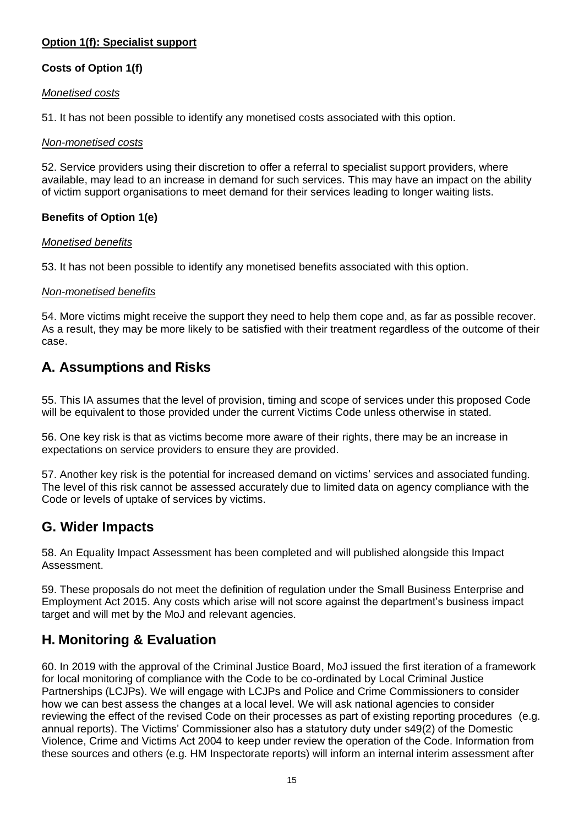## **Option 1(f): Specialist support**

## **Costs of Option 1(f)**

#### *Monetised costs*

51. It has not been possible to identify any monetised costs associated with this option.

#### *Non-monetised costs*

52. Service providers using their discretion to offer a referral to specialist support providers, where available, may lead to an increase in demand for such services. This may have an impact on the ability of victim support organisations to meet demand for their services leading to longer waiting lists.

## **Benefits of Option 1(e)**

#### *Monetised benefits*

53. It has not been possible to identify any monetised benefits associated with this option.

## *Non-monetised benefits*

54. More victims might receive the support they need to help them cope and, as far as possible recover. As a result, they may be more likely to be satisfied with their treatment regardless of the outcome of their case.

# **A. Assumptions and Risks**

55. This IA assumes that the level of provision, timing and scope of services under this proposed Code will be equivalent to those provided under the current Victims Code unless otherwise in stated.

56. One key risk is that as victims become more aware of their rights, there may be an increase in expectations on service providers to ensure they are provided.

57. Another key risk is the potential for increased demand on victims' services and associated funding. The level of this risk cannot be assessed accurately due to limited data on agency compliance with the Code or levels of uptake of services by victims.

## **G. Wider Impacts**

58. An Equality Impact Assessment has been completed and will published alongside this Impact Assessment.

59. These proposals do not meet the definition of regulation under the Small Business Enterprise and Employment Act 2015. Any costs which arise will not score against the department's business impact target and will met by the MoJ and relevant agencies.

# **H. Monitoring & Evaluation**

60. In 2019 with the approval of the Criminal Justice Board, MoJ issued the first iteration of a framework for local monitoring of compliance with the Code to be co-ordinated by Local Criminal Justice Partnerships (LCJPs). We will engage with LCJPs and Police and Crime Commissioners to consider how we can best assess the changes at a local level. We will ask national agencies to consider reviewing the effect of the revised Code on their processes as part of existing reporting procedures (e.g. annual reports). The Victims' Commissioner also has a statutory duty under s49(2) of the Domestic Violence, Crime and Victims Act 2004 to keep under review the operation of the Code. Information from these sources and others (e.g. HM Inspectorate reports) will inform an internal interim assessment after